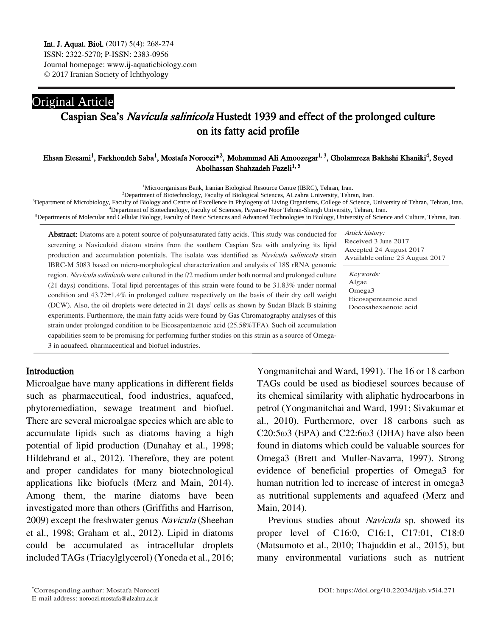## Original Article Caspian Sea's Navicula salinicola Hustedt 1939 and effect of the prolonged culture on its fatty acid profile

### Ehsan Etesami<sup>1</sup>, Farkhondeh Saba<sup>1</sup>, Mostafa Noroozi\*<sup>2</sup>, Mohammad Ali Amoozegar<sup>1, 3</sup>, Gholamreza Bakhshi Khaniki<sup>4</sup>, Seyed Abolhassan Shahzadeh Fazeli<sup>1, 5</sup>

<sup>1</sup>Microorganisms Bank, Iranian Biological Resource Centre (IBRC), Tehran, Iran.

<sup>2</sup>Department of Biotechnology, Faculty of Biological Sciences, ALzahra University, Tehran, Iran.

<sup>3</sup>Department of Microbiology, Faculty of Biology and Centre of Excellence in Phylogeny of Living Organisms, College of Science, University of Tehran, Tehran, Iran. <sup>4</sup>Department of Biotechnology, Faculty of Sciences, Payam-e Noor Tehran-Shargh University, Tehran, Iran.

<sup>5</sup>Departments of Molecular and Cellular Biology, Faculty of Basic Sciences and Advanced Technologies in Biology, University of Science and Culture, Tehran, Iran.

Abstract: Diatoms are a potent source of polyunsaturated fatty acids. This study was conducted for screening a Naviculoid diatom strains from the southern Caspian Sea with analyzing its lipid production and accumulation potentials. The isolate was identified as Navicula salinicola strain IBRC-M 5083 based on micro-morphological characterization and analysis of 18S rRNA genomic region. Navicula salinicola were cultured in the f/2 medium under both normal and prolonged culture (21 days) conditions. Total lipid percentages of this strain were found to be 31.83% under normal condition and 43.72±1.4% in prolonged culture respectively on the basis of their dry cell weight (DCW). Also, the oil droplets were detected in 21 days' cells as shown by Sudan Black B staining experiments. Furthermore, the main fatty acids were found by Gas Chromatography analyses of this strain under prolonged condition to be Eicosapentaenoic acid (25.58%TFA). Such oil accumulation capabilities seem to be promising for performing further studies on this strain as a source of Omega-3 in aquafeed, pharmaceutical and biofuel industries.

Article history: Received 3 June 2017 Accepted 24 August 2017 Available online 25 August 2017

Keywords: Algae Omega3 Eicosapentaenoic acid Docosahexaenoic acid

## Introduction

 $\overline{a}$ 

Microalgae have many applications in different fields such as pharmaceutical, food industries, aquafeed, phytoremediation, sewage treatment and biofuel. There are several microalgae species which are able to accumulate lipids such as diatoms having a high potential of lipid production (Dunahay et al., 1998; Hildebrand et al., 2012). Therefore, they are potent and proper candidates for many biotechnological applications like biofuels (Merz and Main, 2014). Among them, the marine diatoms have been investigated more than others (Griffiths and Harrison, 2009) except the freshwater genus Navicula (Sheehan et al., 1998; Graham et al., 2012). Lipid in diatoms could be accumulated as intracellular droplets included TAGs (Triacylglycerol) (Yoneda et al., 2016;

Yongmanitchai and Ward, 1991). The 16 or 18 carbon TAGs could be used as biodiesel sources because of its chemical similarity with aliphatic hydrocarbons in petrol (Yongmanitchai and Ward, 1991; Sivakumar et al., 2010). Furthermore, over 18 carbons such as C20:5ω3 (EPA) and C22:6ω3 (DHA) have also been found in diatoms which could be valuable sources for Omega3 (Brett and Muller‐Navarra, 1997). Strong evidence of beneficial properties of Omega3 for human nutrition led to increase of interest in omega3 as nutritional supplements and aquafeed (Merz and Main, 2014).

Previous studies about *Navicula* sp. showed its proper level of C16:0, C16:1, C17:01, C18:0 (Matsumoto et al., 2010; Thajuddin et al., 2015), but many environmental variations such as nutrient

E-mail address: noroozi.mostafa@alzahra.ac.ir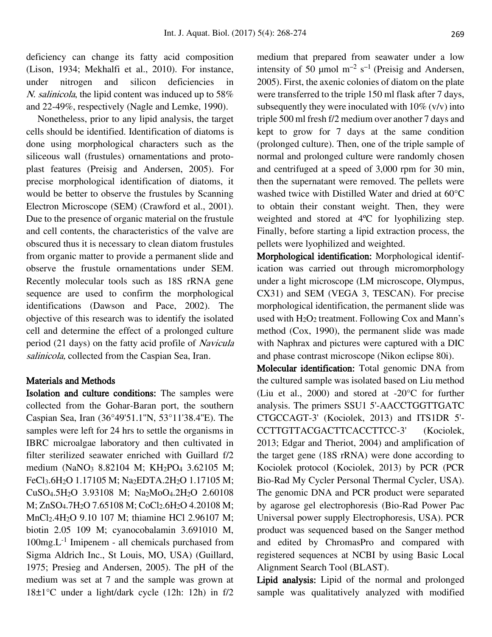deficiency can change its fatty acid composition (Lison, 1934; Mekhalfi et al., 2010). For instance, under nitrogen and silicon deficiencies in N. salinicola, the lipid content was induced up to 58% and 22-49%, respectively (Nagle and Lemke, 1990).

Nonetheless, prior to any lipid analysis, the target cells should be identified. Identification of diatoms is done using morphological characters such as the siliceous wall (frustules) ornamentations and protoplast features (Preisig and Andersen, 2005). For precise morphological identification of diatoms, it would be better to observe the frustules by Scanning Electron Microscope (SEM) (Crawford et al., 2001). Due to the presence of organic material on the frustule and cell contents, the characteristics of the valve are obscured thus it is necessary to clean diatom frustules from organic matter to provide a permanent slide and observe the frustule ornamentations under SEM. Recently molecular tools such as 18S rRNA gene sequence are used to confirm the morphological identifications (Dawson and Pace, 2002). The objective of this research was to identify the isolated cell and determine the effect of a prolonged culture period (21 days) on the fatty acid profile of Navicula salinicola, collected from the Caspian Sea, Iran.

## Materials and Methods

Isolation and culture conditions: The samples were collected from the Gohar-Baran port, the southern Caspian Sea, Iran (36°49'51.1''N, 53°11'38.4''E). The samples were left for 24 hrs to settle the organisms in IBRC microalgae laboratory and then cultivated in filter sterilized seawater enriched with Guillard f/2 medium (NaNO<sub>3</sub> 8.82104 M; KH<sub>2</sub>PO<sub>4</sub> 3.62105 M; FeCl<sub>3</sub>.6H<sub>2</sub>O 1.17105 M; Na<sub>2</sub>EDTA.2H<sub>2</sub>O 1.17105 M; CuSO4.5H2O 3.93108 M; Na2MoO4.2H2O 2.60108 M; ZnSO<sub>4</sub>.7H<sub>2</sub>O 7.65108 M; CoCl<sub>2</sub>.6H<sub>2</sub>O 4.20108 M; MnCl2.4H2O 9.10 107 M; thiamine HCl 2.96107 M; biotin 2.05 109 M; cyanocobalamin 3.691010 M, 100mg.L-1 Imipenem - all chemicals purchased from Sigma Aldrich Inc., St Louis, MO, USA) (Guillard, 1975; Presieg and Andersen, 2005). The pH of the medium was set at 7 and the sample was grown at 18±1°C under a light/dark cycle (12h: 12h) in f/2

medium that prepared from seawater under a low intensity of 50  $\mu$ mol m<sup>-2</sup> s<sup>-1</sup> (Preisig and Andersen, 2005). First, the axenic colonies of diatom on the plate were transferred to the triple 150 ml flask after 7 days, subsequently they were inoculated with  $10\%$  (v/v) into triple 500 ml fresh f/2 medium over another 7 days and kept to grow for 7 days at the same condition (prolonged culture). Then, one of the triple sample of normal and prolonged culture were randomly chosen and centrifuged at a speed of 3,000 rpm for 30 min, then the supernatant were removed. The pellets were washed twice with Distilled Water and dried at 60°C to obtain their constant weight. Then, they were weighted and stored at 4ºC for lyophilizing step. Finally, before starting a lipid extraction process, the pellets were lyophilized and weighted.

Morphological identification: Morphological identification was carried out through micromorphology under a light microscope (LM microscope, Olympus, CX31) and SEM (VEGA 3, TESCAN). For precise morphological identification, the permanent slide was used with  $H_2O_2$  treatment. Following Cox and Mann's method (Cox, 1990), the permanent slide was made with Naphrax and pictures were captured with a DIC and phase contrast microscope (Nikon eclipse 80i).

Molecular identification: Total genomic DNA from the cultured sample was isolated based on Liu method (Liu et al., 2000) and stored at -20°C for further analysis. The primers SSU1 5'-AACCTGGTTGATC CTGCCAGT-3' (Kociolek, 2013) and ITS1DR 5'- CCTTGTTACGACTTCACCTTCC-3' (Kociolek, 2013; Edgar and Theriot, 2004) and amplification of the target gene (18S rRNA) were done according to Kociolek protocol (Kociolek, 2013) by PCR (PCR Bio-Rad My Cycler Personal Thermal Cycler, USA). The genomic DNA and PCR product were separated by agarose gel electrophoresis (Bio-Rad Power Pac Universal power supply Electrophoresis, USA). PCR product was sequenced based on the Sanger method and edited by ChromasPro and compared with registered sequences at NCBI by using Basic Local Alignment Search Tool (BLAST).

Lipid analysis: Lipid of the normal and prolonged sample was qualitatively analyzed with modified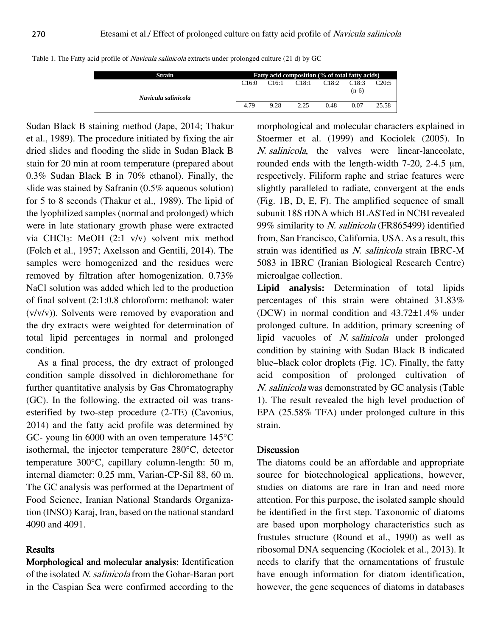|  | Table 1. The Fatty acid profile of <i>Navicula salinicola</i> extracts under prolonged culture (21 d) by GC |  |
|--|-------------------------------------------------------------------------------------------------------------|--|
|  |                                                                                                             |  |

| Strain              | Fatty acid composition (% of total fatty acids) |       |       |       |                  |       |  |  |
|---------------------|-------------------------------------------------|-------|-------|-------|------------------|-------|--|--|
| Navicula salinicola | C16:0                                           | C16:1 | C18:1 | C18:2 | C18:3<br>$(n-6)$ | C20:5 |  |  |
|                     | 4.79                                            | 9.28  | 2.25  | 0.48  | 0.07             | 25.58 |  |  |

Sudan Black B staining method (Jape, 2014; Thakur et al., 1989). The procedure initiated by fixing the air dried slides and flooding the slide in Sudan Black B stain for 20 min at room temperature (prepared about 0.3% Sudan Black B in 70% ethanol). Finally, the slide was stained by Safranin (0.5% aqueous solution) for 5 to 8 seconds (Thakur et al., 1989). The lipid of the lyophilized samples (normal and prolonged) which were in late stationary growth phase were extracted via CHCI3: MeOH (2:1 v/v) solvent mix method (Folch et al., 1957; Axelsson and Gentili, 2014). The samples were homogenized and the residues were removed by filtration after homogenization. 0.73% NaCl solution was added which led to the production of final solvent (2:1:0.8 chloroform: methanol: water (v/v/v)). Solvents were removed by evaporation and the dry extracts were weighted for determination of total lipid percentages in normal and prolonged condition.

As a final process, the dry extract of prolonged condition sample dissolved in dichloromethane for further quantitative analysis by Gas Chromatography (GC). In the following, the extracted oil was transesterified by two-step procedure (2-TE) (Cavonius, 2014) and the fatty acid profile was determined by GC- young lin 6000 with an oven temperature 145°C isothermal, the injector temperature 280°C, detector temperature 300°C, capillary column-length: 50 m, internal diameter: 0.25 mm, Varian-CP-Sil 88, 60 m. The GC analysis was performed at the Department of Food Science, Iranian National Standards Organization (INSO) Karaj, Iran, based on the national standard 4090 and 4091.

## **Results**

Morphological and molecular analysis: Identification of the isolated N. salinicola from the Gohar-Baran port in the Caspian Sea were confirmed according to the

morphological and molecular characters explained in Stoermer et al. (1999) and Kociolek (2005). In N. salinicola, the valves were linear-lanceolate, rounded ends with the length-width 7-20, 2-4.5 μm, respectively. Filiform raphe and striae features were slightly paralleled to radiate, convergent at the ends (Fig. 1B, D, E, F). The amplified sequence of small subunit 18S rDNA which BLASTed in NCBI revealed 99% similarity to N. salinicola (FR865499) identified from, San Francisco, California, USA. As a result, this strain was identified as N. salinicola strain IBRC-M 5083 in IBRC (Iranian Biological Research Centre) microalgae collection.

**Lipid analysis:** Determination of total lipids percentages of this strain were obtained 31.83% (DCW) in normal condition and 43.72±1.4% under prolonged culture. In addition, primary screening of lipid vacuoles of N. salinicola under prolonged condition by staining with Sudan Black B indicated blue–black color droplets (Fig. 1C). Finally, the fatty acid composition of prolonged cultivation of N. salinicola was demonstrated by GC analysis (Table 1). The result revealed the high level production of EPA (25.58% TFA) under prolonged culture in this strain.

## Discussion

The diatoms could be an affordable and appropriate source for biotechnological applications, however, studies on diatoms are rare in Iran and need more attention. For this purpose, the isolated sample should be identified in the first step. Taxonomic of diatoms are based upon morphology characteristics such as frustules structure (Round et al., 1990) as well as ribosomal DNA sequencing (Kociolek et al., 2013). It needs to clarify that the ornamentations of frustule have enough information for diatom identification, however, the gene sequences of diatoms in databases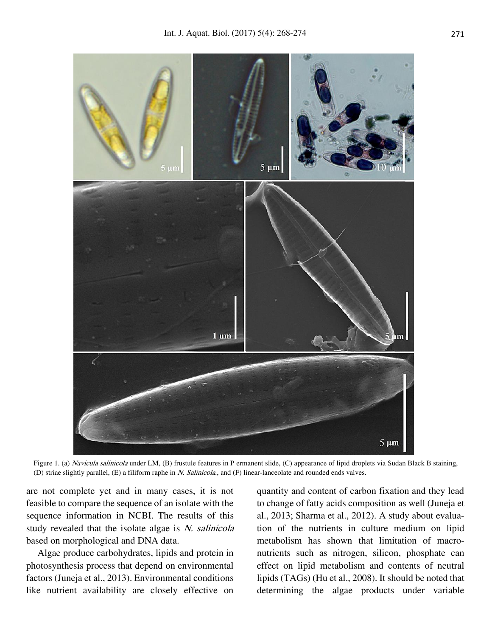

Figure 1. (a) Navicula salinicola under LM, (B) frustule features in P ermanent slide, (C) appearance of lipid droplets via Sudan Black B staining, (D) striae slightly parallel,  $(E)$  a filiform raphe in *N. Salinicola*., and  $(F)$  linear-lanceolate and rounded ends valves.

are not complete yet and in many cases, it is not feasible to compare the sequence of an isolate with the sequence information in NCBI. The results of this study revealed that the isolate algae is  $N$ . salinicola based on morphological and DNA data.

Algae produce carbohydrates, lipids and protein in photosynthesis process that depend on environmental factors (Juneja et al., 2013). Environmental conditions like nutrient availability are closely effective on

quantity and content of carbon fixation and they lead to change of fatty acids composition as well (Juneja et al., 2013; Sharma et al., 2012). A study about evaluation of the nutrients in culture medium on lipid metabolism has shown that limitation of macronutrients such as nitrogen, silicon, phosphate can effect on lipid metabolism and contents of neutral lipids (TAGs) (Hu et al., 2008). It should be noted that determining the algae products under variable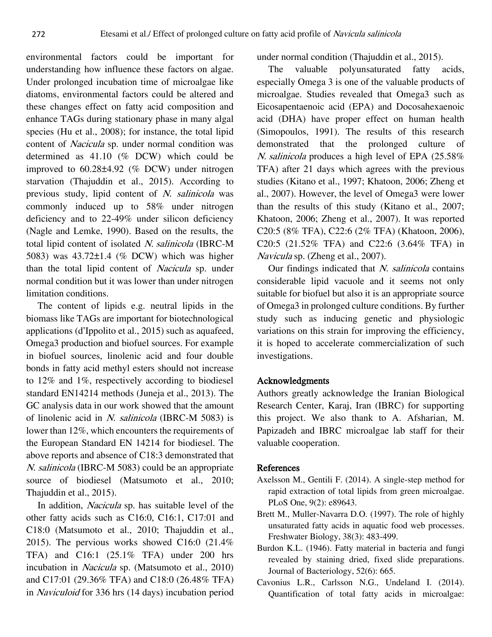environmental factors could be important for understanding how influence these factors on algae. Under prolonged incubation time of microalgae like diatoms, environmental factors could be altered and these changes effect on fatty acid composition and enhance TAGs during stationary phase in many algal species (Hu et al., 2008); for instance, the total lipid content of Nacicula sp. under normal condition was determined as 41.10 (% DCW) which could be improved to 60.28±4.92 (% DCW) under nitrogen starvation (Thajuddin et al., 2015). According to previous study, lipid content of N. salinicola was commonly induced up to 58% under nitrogen deficiency and to 22-49% under silicon deficiency (Nagle and Lemke, 1990). Based on the results, the total lipid content of isolated N. salinicola (IBRC-M 5083) was 43.72±1.4 (% DCW) which was higher than the total lipid content of Nacicula sp. under normal condition but it was lower than under nitrogen limitation conditions.

The content of lipids e.g. neutral lipids in the biomass like TAGs are important for biotechnological applications (d'Ippolito et al., 2015) such as aquafeed, Omega3 production and biofuel sources. For example in biofuel sources, linolenic acid and four double bonds in fatty acid methyl esters should not increase to 12% and 1%, respectively according to biodiesel standard EN14214 methods (Juneja et al., 2013). The GC analysis data in our work showed that the amount of linolenic acid in N. salinicola (IBRC-M 5083) is lower than 12%, which encounters the requirements of the European Standard EN 14214 for biodiesel. The above reports and absence of C18:3 demonstrated that N. salinicola (IBRC-M 5083) could be an appropriate source of biodiesel (Matsumoto et al., 2010; Thajuddin et al., 2015).

In addition, *Nacicula* sp. has suitable level of the other fatty acids such as C16:0, C16:1, C17:01 and C18:0 (Matsumoto et al., 2010; Thajuddin et al., 2015). The pervious works showed C16:0 (21.4% TFA) and C16:1 (25.1% TFA) under 200 hrs incubation in *Nacicula* sp. (Matsumoto et al., 2010) and C17:01 (29.36% TFA) and C18:0 (26.48% TFA) in Naviculoid for 336 hrs (14 days) incubation period under normal condition (Thajuddin et al., 2015).

The valuable polyunsaturated fatty acids, especially Omega 3 is one of the valuable products of microalgae. Studies revealed that Omega3 such as Eicosapentaenoic acid (EPA) and Docosahexaenoic acid (DHA) have proper effect on human health (Simopoulos, 1991). The results of this research demonstrated that the prolonged culture of N. salinicola produces a high level of EPA (25.58% TFA) after 21 days which agrees with the previous studies (Kitano et al., 1997; Khatoon, 2006; Zheng et al., 2007). However, the level of Omega3 were lower than the results of this study (Kitano et al., 2007; Khatoon, 2006; Zheng et al., 2007). It was reported C20:5 (8% TFA), C22:6 (2% TFA) (Khatoon, 2006), C20:5 (21.52% TFA) and C22:6 (3.64% TFA) in Navicula sp. (Zheng et al., 2007).

Our findings indicated that *N. salinicola* contains considerable lipid vacuole and it seems not only suitable for biofuel but also it is an appropriate source of Omega3 in prolonged culture conditions. By further study such as inducing genetic and physiologic variations on this strain for improving the efficiency, it is hoped to accelerate commercialization of such investigations.

## Acknowledgments

Authors greatly acknowledge the Iranian Biological Research Center, Karaj, Iran (IBRC) for supporting this project. We also thank to A. Afsharian, M. Papizadeh and IBRC microalgae lab staff for their valuable cooperation.

### References

- Axelsson M., Gentili F. (2014). A single-step method for rapid extraction of total lipids from green microalgae. PLoS One, 9(2): e89643.
- Brett M., Muller-Navarra D.O. (1997). The role of highly unsaturated fatty acids in aquatic food web processes. Freshwater Biology, 38(3): 483-499.
- Burdon K.L. (1946). Fatty material in bacteria and fungi revealed by staining dried, fixed slide preparations. Journal of Bacteriology, 52(6): 665.
- Cavonius L.R., Carlsson N.G., Undeland I. (2014). Quantification of total fatty acids in microalgae: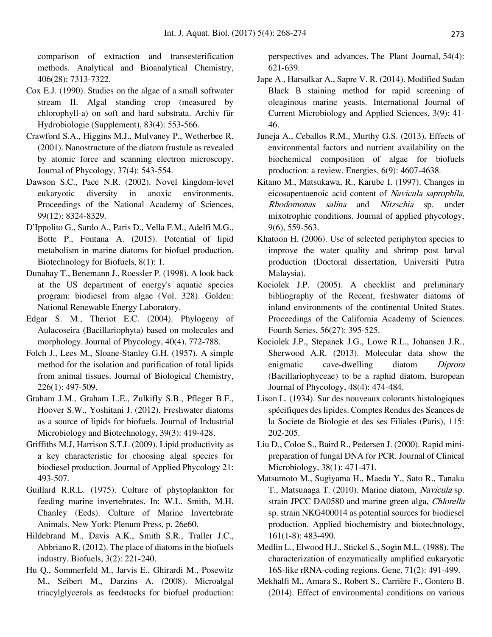comparison of extraction and transesterification methods. Analytical and Bioanalytical Chemistry, 406(28): 7313-7322.

- Cox E.J. (1990). Studies on the algae of a small softwater stream II. Algal standing crop (measured by chlorophyll-a) on soft and hard substrata. Archiv für Hydrobiologie (Supplement), 83(4): 553-566.
- Crawford S.A., Higgins M.J., Mulvaney P., Wetherbee R. (2001). Nanostructure of the diatom frustule as revealed by atomic force and scanning electron microscopy. Journal of Phycology, 37(4): 543-554.
- Dawson S.C., Pace N.R. (2002). Novel kingdom-level eukaryotic diversity in anoxic environments. Proceedings of the National Academy of Sciences, 99(12): 8324-8329.
- D'Ippolito G., Sardo A., Paris D., Vella F.M., Adelfi M.G., Botte P., Fontana A. (2015). Potential of lipid metabolism in marine diatoms for biofuel production. Biotechnology for Biofuels, 8(1): 1.
- Dunahay T., Benemann J., Roessler P. (1998). A look back at the US department of energy's aquatic species program: biodiesel from algae (Vol. 328). Golden: National Renewable Energy Laboratory.
- Edgar S. M., Theriot E.C. (2004). Phylogeny of Aulacoseira (Bacillariophyta) based on molecules and morphology. Journal of Phycology, 40(4), 772-788.
- Folch J., Lees M., Sloane-Stanley G.H. (1957). A simple method for the isolation and purification of total lipids from animal tissues. Journal of Biological Chemistry, 226(1): 497-509.
- Graham J.M., Graham L.E., Zulkifly S.B., Pfleger B.F., Hoover S.W., Yoshitani J. (2012). Freshwater diatoms as a source of lipids for biofuels. Journal of Industrial Microbiology and Biotechnology, 39(3): 419-428.
- Griffiths M.J, Harrison S.T.L (2009). Lipid productivity as a key characteristic for choosing algal species for biodiesel production. Journal of Applied Phycology 21: 493-507.
- Guillard R.R.L. (1975). Culture of phytoplankton for feeding marine invertebrates. In: W.L. Smith, M.H. Chanley (Eeds). Culture of Marine Invertebrate Animals. New York: Plenum Press, p. 26e60.
- Hildebrand M., Davis A.K., Smith S.R., Traller J.C., Abbriano R. (2012). The place of diatoms in the biofuels industry. Biofuels, 3(2): 221-240.
- Hu Q., Sommerfeld M., Jarvis E., Ghirardi M., Posewitz M., Seibert M., Darzins A. (2008). Microalgal triacylglycerols as feedstocks for biofuel production:

perspectives and advances. The Plant Journal, 54(4): 621-639.

- Jape A., Harsulkar A., Sapre V. R. (2014). Modified Sudan Black B staining method for rapid screening of oleaginous marine yeasts. International Journal of Current Microbiology and Applied Sciences, 3(9): 41- 46.
- Juneja A., Ceballos R.M., Murthy G.S. (2013). Effects of environmental factors and nutrient availability on the biochemical composition of algae for biofuels production: a review. Energies, 6(9): 4607-4638.
- Kitano M., Matsukawa, R., Karube I. (1997). Changes in eicosapentaenoic acid content of Navicula saprophila, Rhodomonas salina and Nitzschia sp. under mixotrophic conditions. Journal of applied phycology, 9(6), 559-563.
- Khatoon H. (2006). Use of selected periphyton species to improve the water quality and shrimp post larval production (Doctoral dissertation, Universiti Putra Malaysia).
- Kociolek J.P. (2005). A checklist and preliminary bibliography of the Recent, freshwater diatoms of inland environments of the continental United States. Proceedings of the California Academy of Sciences. Fourth Series, 56(27): 395-525.
- Kociolek J.P., Stepanek J.G., Lowe R.L., Johansen J.R., Sherwood A.R. (2013). Molecular data show the enigmatic cave-dwelling diatom *Diprora* (Bacillariophyceae) to be a raphid diatom. European Journal of Phycology, 48(4): 474-484.
- Lison L. (1934). Sur des nouveaux colorants histologiques spécifiques des lipides. Comptes Rendus des Seances de la Societe de Biologie et des ses Filiales (Paris), 115: 202-205.
- Liu D., Coloe S., Baird R., Pedersen J. (2000). Rapid minipreparation of fungal DNA for PCR. Journal of Clinical Microbiology, 38(1): 471-471.
- Matsumoto M., Sugiyama H., Maeda Y., Sato R., Tanaka T., Matsunaga T. (2010). Marine diatom, Navicula sp. strain JPCC DA0580 and marine green alga, Chlorella sp. strain NKG400014 as potential sources for biodiesel production. Applied biochemistry and biotechnology, 161(1-8): 483-490.
- Medlin L., Elwood H.J., Stickel S., Sogin M.L. (1988). The characterization of enzymatically amplified eukaryotic 16S-like rRNA-coding regions. Gene, 71(2): 491-499.
- Mekhalfi M., Amara S., Robert S., Carrière F., Gontero B. (2014). Effect of environmental conditions on various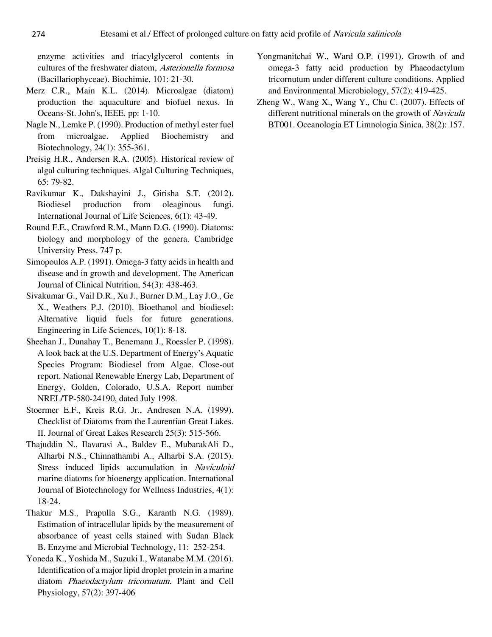enzyme activities and triacylglycerol contents in cultures of the freshwater diatom, Asterionella formosa (Bacillariophyceae). Biochimie, 101: 21-30.

- Merz C.R., Main K.L. (2014). Microalgae (diatom) production the aquaculture and biofuel nexus. In Oceans-St. John's, IEEE. pp: 1-10.
- Nagle N., Lemke P. (1990). Production of methyl ester fuel from microalgae. Applied Biochemistry and Biotechnology, 24(1): 355-361.
- Preisig H.R., Andersen R.A. (2005). Historical review of algal culturing techniques. Algal Culturing Techniques, 65: 79-82.
- Ravikumar K., Dakshayini J., Girisha S.T. (2012). Biodiesel production from oleaginous fungi. International Journal of Life Sciences, 6(1): 43-49.
- Round F.E., Crawford R.M., Mann D.G. (1990). Diatoms: biology and morphology of the genera. Cambridge University Press. 747 p.
- Simopoulos A.P. (1991). Omega-3 fatty acids in health and disease and in growth and development. The American Journal of Clinical Nutrition, 54(3): 438-463.
- Sivakumar G., Vail D.R., Xu J., Burner D.M., Lay J.O., Ge X., Weathers P.J. (2010). Bioethanol and biodiesel: Alternative liquid fuels for future generations. Engineering in Life Sciences, 10(1): 8-18.
- Sheehan J., Dunahay T., Benemann J., Roessler P. (1998). A look back at the U.S. Department of Energy's Aquatic Species Program: Biodiesel from Algae. Close-out report. National Renewable Energy Lab, Department of Energy, Golden, Colorado, U.S.A. Report number NREL/TP-580-24190, dated July 1998.
- Stoermer E.F., Kreis R.G. Jr., Andresen N.A. (1999). Checklist of Diatoms from the Laurentian Great Lakes. II. Journal of Great Lakes Research 25(3): 515-566.
- Thajuddin N., Ilavarasi A., Baldev E., MubarakAli D., Alharbi N.S., Chinnathambi A., Alharbi S.A. (2015). Stress induced lipids accumulation in Naviculoid marine diatoms for bioenergy application. International Journal of Biotechnology for Wellness Industries, 4(1): 18-24.
- Thakur M.S., Prapulla S.G., Karanth N.G. (1989). Estimation of intracellular lipids by the measurement of absorbance of yeast cells stained with Sudan Black B. Enzyme and Microbial Technology, 11: 252-254.
- Yoneda K., Yoshida M., Suzuki I., Watanabe M.M. (2016). Identification of a major lipid droplet protein in a marine diatom Phaeodactylum tricornutum. Plant and Cell Physiology, 57(2): 397-406
- Yongmanitchai W., Ward O.P. (1991). Growth of and omega-3 fatty acid production by Phaeodactylum tricornutum under different culture conditions. Applied and Environmental Microbiology, 57(2): 419-425.
- Zheng W., Wang X., Wang Y., Chu C. (2007). Effects of different nutritional minerals on the growth of Navicula BT001. Oceanologia ET Limnologia Sinica, 38(2): 157.